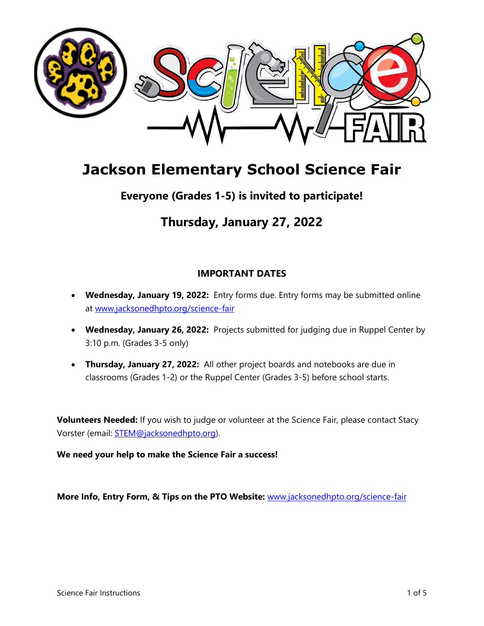

# **Jackson Elementary School Science Fair**

# **Everyone (Grades 1-5) is invited to participate!**

# **Thursday, January 27, 2022**

# **IMPORTANT DATES**

- **Wednesday, January 19, 2022:** Entry forms due. Entry forms may be submitted online at [www.jacksonedhpto.org/science-fair](http://www.jacksonedhpto.org/science-fair)
- **Wednesday, January 26, 2022:** Projects submitted for judging due in Ruppel Center by 3:10 p.m. (Grades 3-5 only)
- **Thursday, January 27, 2022:** All other project boards and notebooks are due in classrooms (Grades 1-2) or the Ruppel Center (Grades 3-5) before school starts.

**Volunteers Needed:** If you wish to judge or volunteer at the Science Fair, please contact Stacy Vorster (email: [STEM@jacksonedhpto.org\)](mailto:STEM@jacksonedhpto.org).

**We need your help to make the Science Fair a success!**

**More Info, Entry Form, & Tips on the PTO Website:** [www.jacksonedhpto.org/science-fair](http://www.jacksonedhpto.org/science-fair)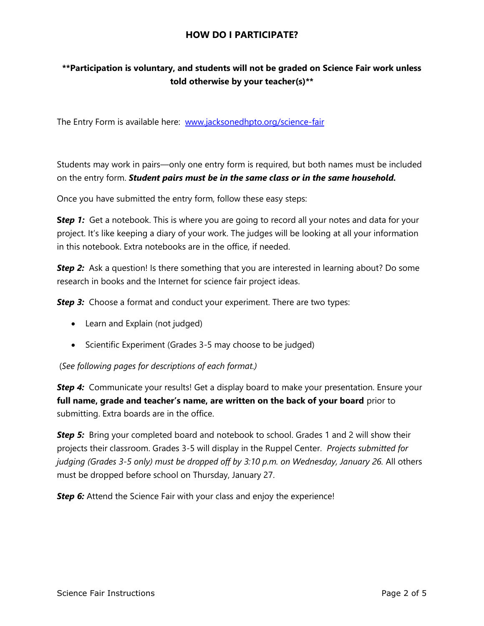#### **HOW DO I PARTICIPATE?**

# **\*\*Participation is voluntary, and students will not be graded on Science Fair work unless told otherwise by your teacher(s)\*\***

The Entry Form is available here: [www.jacksonedhpto.org/science-fair](http://www.jacksonedhpto.org/science-fair)

Students may work in pairs—only one entry form is required, but both names must be included on the entry form. *Student pairs must be in the same class or in the same household.* 

Once you have submitted the entry form, follow these easy steps:

**S***tep 1:* Get a notebook. This is where you are going to record all your notes and data for your project. It's like keeping a diary of your work. The judges will be looking at all your information in this notebook. Extra notebooks are in the office, if needed.

**Step 2:** Ask a question! Is there something that you are interested in learning about? Do some research in books and the Internet for science fair project ideas.

**Step 3:** Choose a format and conduct your experiment. There are two types:

- Learn and Explain (not judged)
- Scientific Experiment (Grades 3-5 may choose to be judged)

(*See following pages for descriptions of each format.)*

**Step 4:** Communicate your results! Get a display board to make your presentation. Ensure your **full name, grade and teacher's name, are written on the back of your board** prior to submitting. Extra boards are in the office.

**Step 5:** Bring your completed board and notebook to school. Grades 1 and 2 will show their projects their classroom. Grades 3-5 will display in the Ruppel Center. *Projects submitted for judging (Grades 3-5 only) must be dropped off by 3:10 p.m. on Wednesday, January 26.* All others must be dropped before school on Thursday, January 27.

*Step 6:* Attend the Science Fair with your class and enjoy the experience!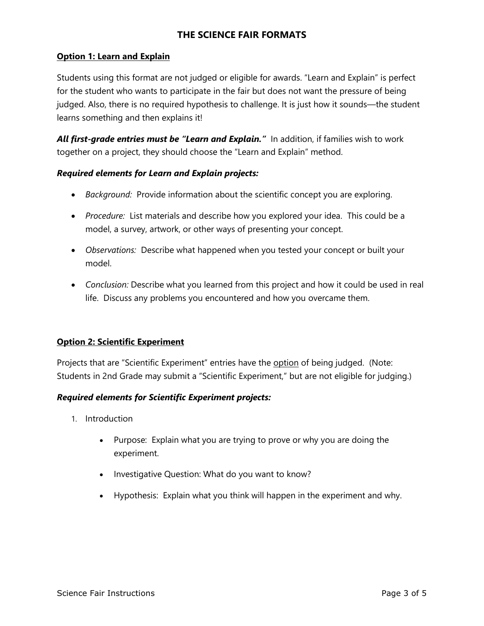## **THE SCIENCE FAIR FORMATS**

#### **Option 1: Learn and Explain**

Students using this format are not judged or eligible for awards. "Learn and Explain" is perfect for the student who wants to participate in the fair but does not want the pressure of being judged. Also, there is no required hypothesis to challenge. It is just how it sounds—the student learns something and then explains it!

*All first-grade entries must be "Learn and Explain."* In addition, if families wish to work together on a project, they should choose the "Learn and Explain" method.

#### *Required elements for Learn and Explain projects:*

- *Background:* Provide information about the scientific concept you are exploring.
- *Procedure:* List materials and describe how you explored your idea. This could be a model, a survey, artwork, or other ways of presenting your concept.
- *Observations:* Describe what happened when you tested your concept or built your model.
- *Conclusion:* Describe what you learned from this project and how it could be used in real life. Discuss any problems you encountered and how you overcame them.

#### **Option 2: Scientific Experiment**

Projects that are "Scientific Experiment" entries have the option of being judged. (Note: Students in 2nd Grade may submit a "Scientific Experiment," but are not eligible for judging.)

#### *Required elements for Scientific Experiment projects:*

- 1. Introduction
	- Purpose: Explain what you are trying to prove or why you are doing the experiment.
	- Investigative Question: What do you want to know?
	- Hypothesis: Explain what you think will happen in the experiment and why.